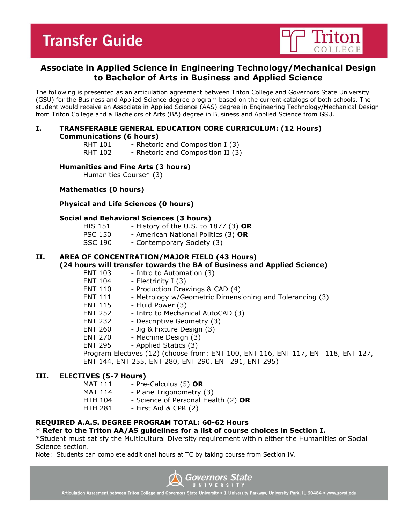# **Transfer Guide**



## **Associate in Applied Science in Engineering Technology/Mechanical Design to Bachelor of Arts in Business and Applied Science**

The following is presented as an articulation agreement between Triton College and Governors State University (GSU) for the Business and Applied Science degree program based on the current catalogs of both schools. The student would receive an Associate in Applied Science (AAS) degree in Engineering Technology/Mechanical Design from Triton College and a Bachelors of Arts (BA) degree in Business and Applied Science from GSU.

#### **I. TRANSFERABLE GENERAL EDUCATION CORE CURRICULUM: (12 Hours) Communications (6 hours)**

- RHT 101 Rhetoric and Composition I (3)
- RHT 102 Rhetoric and Composition II (3)

#### **Humanities and Fine Arts (3 hours)**

Humanities Course\* (3)

#### **Mathematics (0 hours)**

**Physical and Life Sciences (0 hours)**

#### **Social and Behavioral Sciences (3 hours)**

- HIS 151 History of the U.S. to 1877 (3) **OR**
- PSC 150 American National Politics (3) **OR**
- SSC 190 Contemporary Society (3)

### **II. AREA OF CONCENTRATION/MAJOR FIELD (43 Hours)**

#### **(24 hours will transfer towards the BA of Business and Applied Science)**

- ENT 103 Intro to Automation (3)
- ENT 104 Electricity I (3)
- ENT 110 Production Drawings & CAD (4)
- ENT 111 Metrology w/Geometric Dimensioning and Tolerancing (3)
- $ENT 115 -$  Fluid Power (3)
- ENT 252 Intro to Mechanical AutoCAD (3)
- ENT 232 Descriptive Geometry (3)
- ENT 260 Jig & Fixture Design (3)
- ENT 270 Machine Design (3)
- ENT 295 Applied Statics (3)

Program Electives (12) (choose from: ENT 100, ENT 116, ENT 117, ENT 118, ENT 127, ENT 144, ENT 255, ENT 280, ENT 290, ENT 291, ENT 295)

#### **III. ELECTIVES (5-7 Hours)**

- MAT 111 Pre-Calculus (5) OR
- MAT 114 Plane Trigonometry (3)
- HTH 104 Science of Personal Health (2) **OR**
- HTH 281 First Aid & CPR (2)

#### **REQUIRED A.A.S. DEGREE PROGRAM TOTAL: 60-62 Hours**

#### **\* Refer to the Triton AA/AS guidelines for a list of course choices in Section I.**

\*Student must satisfy the Multicultural Diversity requirement within either the Humanities or Social Science section.

Note: Students can complete additional hours at TC by taking course from Section IV.



Articulation Agreement between Triton College and Governors State University . 1 University Parkway, University Park, IL 60484 . www.govst.edu